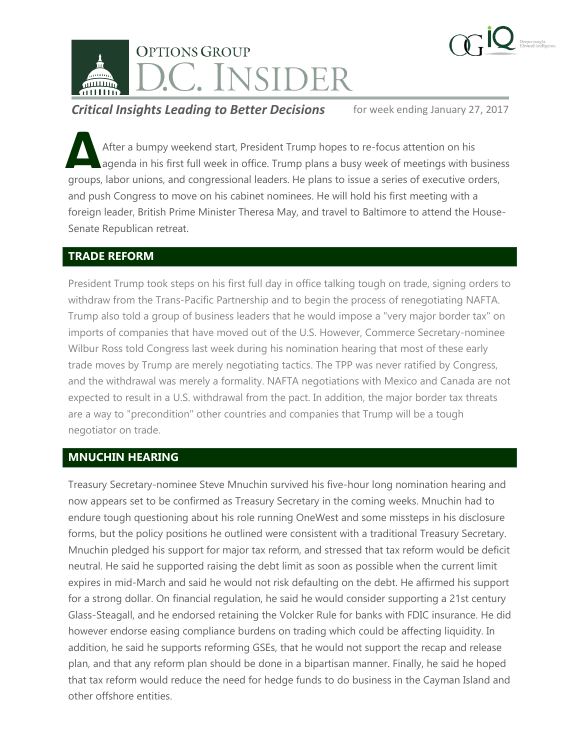

**Critical Insights Leading to Better Decisions** for week ending January 27, 2017

After a bumpy weekend start, President Trump hopes to re-focus attention on his agenda in his first full week in office. Trump plans a busy week of meetings with business After a bumpy weekend start, President Trump hopes to re-focus attention on his agenda in his first full week in office. Trump plans a busy week of meetings with busines groups, labor unions, and congressional leaders. He and push Congress to move on his cabinet nominees. He will hold his first meeting with a foreign leader, British Prime Minister Theresa May, and travel to Baltimore to attend the House-Senate Republican retreat.

### **TRADE REFORM**

President Trump took steps on his first full day in office talking tough on trade, signing orders to withdraw from the Trans-Pacific Partnership and to begin the process of renegotiating NAFTA. Trump also told a group of business leaders that he would impose a "very major border tax" on imports of companies that have moved out of the U.S. However, Commerce Secretary-nominee Wilbur Ross told Congress last week during his nomination hearing that most of these early trade moves by Trump are merely negotiating tactics. The TPP was never ratified by Congress, and the withdrawal was merely a formality. NAFTA negotiations with Mexico and Canada are not expected to result in a U.S. withdrawal from the pact. In addition, the major border tax threats are a way to "precondition" other countries and companies that Trump will be a tough negotiator on trade.

## **MNUCHIN HEARING**

Treasury Secretary-nominee Steve Mnuchin survived his five-hour long nomination hearing and now appears set to be confirmed as Treasury Secretary in the coming weeks. Mnuchin had to endure tough questioning about his role running OneWest and some missteps in his disclosure forms, but the policy positions he outlined were consistent with a traditional Treasury Secretary. Mnuchin pledged his support for major tax reform, and stressed that tax reform would be deficit neutral. He said he supported raising the debt limit as soon as possible when the current limit expires in mid-March and said he would not risk defaulting on the debt. He affirmed his support for a strong dollar. On financial regulation, he said he would consider supporting a 21st century Glass-Steagall, and he endorsed retaining the Volcker Rule for banks with FDIC insurance. He did however endorse easing compliance burdens on trading which could be affecting liquidity. In addition, he said he supports reforming GSEs, that he would not support the recap and release plan, and that any reform plan should be done in a bipartisan manner. Finally, he said he hoped that tax reform would reduce the need for hedge funds to do business in the Cayman Island and other offshore entities.